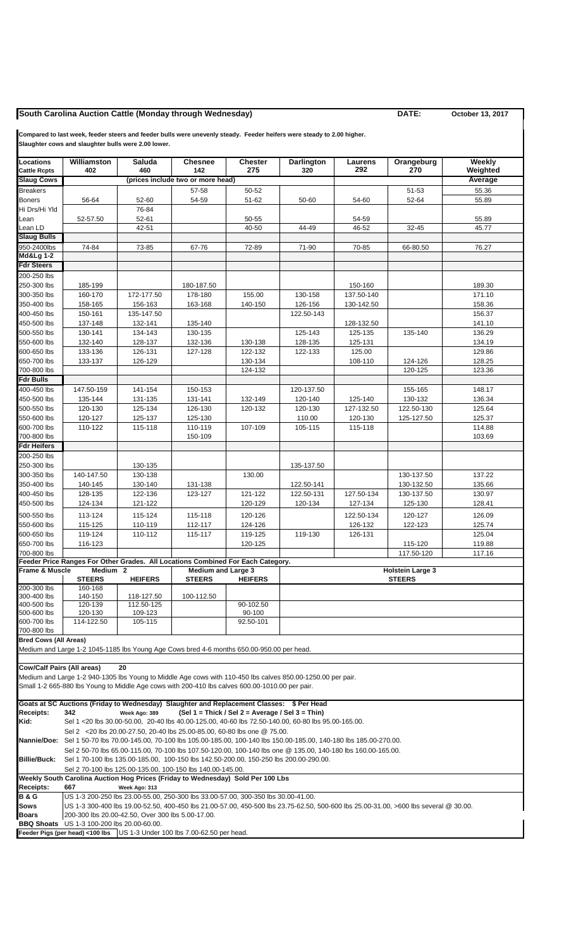## **South Carolina Auction Cattle (Monday through Wednesday) DATE: October 13, 2017**

**Compared to last week, feeder steers and feeder bulls were unevenly steady. Feeder heifers were steady to 2.00 higher. Slaughter cows and slaughter bulls were 2.00 lower.**

**Locations Williamston Saluda Chesnee Chester Darlington Laurens Orangeburg Weekly Cattle Rcpts 402 460 142 275 320 292 270 Weighted Slaug Cows (prices include two or more head) Average Average Average Average** Breakers | | | | 57-58 | 50-52 | | | 51-53 | 55.36 Boners | 56-64 | 52-60 | 54-59 | 51-62 | 50-60 | 54-60 | 52-64 | 55.89 Hi Drs/Hi Yld | 76-84 Lean | 52-57.50 | 52-61 | | 50-55 | | 54-59 | | 55.89 Lean LD 42-51 40-50 44-49 46-52 32-45 45.77 **Slaug Bulls** 950-2400lbs | 74-84 | 73-85 | 67-76 | 72-89 | 71-90 | 70-85 | 66-80.50 | 76.27 **Md&Lg 1-2 Fdr Steers** 200-250 lbs 250-300 lbs | 185-199 | | 180-187.50 | | | 150-160 | | 189.30 300-350 lbs | 160-170 | 172-177.50 | 178-180 | 155.00 | 130-158 | 137.50-140 | 171.10 350-400 lbs | 158-165 | 156-163 | 163-168 | 140-150 | 126-156 | 130-142.50 | 158.36 400-450 lbs | 150-161 | 135-147.50 | | | 122.50-143 | | | 156.37 450-500 lbs | 137-148 | 132-141 | 135-140 | | | 128-132.50 | | 141.10 500-550 lbs | 130-141 | 134-143 | 130-135 | | 125-143 | 125-135 | 135-140 | 136.29 550-600 lbs | 132-140 | 128-137 | 132-136 | 130-138 | 128-135 | 125-131 | 134.19 600-650 lbs | 133-136 | 126-131 | 127-128 | 122-132 | 122-133 | 125.00 | 129.86 650-700 lbs | 133-137 | 126-129 | | 130-134 | | 108-110 | 124-126 | 128.25 700-800 lbs 124-132 120-125 123.36 **Fdr Bulls** 400-450 lbs | 147.50-159 | 141-154 | 150-153 | | 120-137.50 | | 155-165 | 148.17 450-500 lbs | 135-144 | 131-135 | 131-141 | 132-149 | 120-140 | 125-140 | 130-132 | 136.34 500-550 lbs 120-130 125-134 126-130 120-132 120-130 127-132.50 122.50-130 125.64 550-600 lbs | 120-127 | 125-137 | 125-130 | | 110.00 | 120-130 | 125-127.50 | 125.37 600-700 lbs | 110-122 | 115-118 | 110-119 | 107-109 | 105-115 | 115-118 | 114.88 700-800 lbs 150-109 103.69 **Fdr Heifers** 200-250 lbs 250-300 lbs 130-135 135-137.50 300-350 lbs | 140-147.50 | 130-138 | | 130.00 | | | | 130-137.50 | 137.22 350-400 lbs | 140-145 | 130-140 | 131-138 | | 122.50-141 | | 130-132.50 | 135.66 400-450 lbs | 128-135 | 122-136 | 123-127 | 121-122 | 122.50-131 | 127.50-134 | 130-137.50 | 130.97 450-500 lbs | 124-134 | 121-122 | | 120-129 | 120-134 | 127-134 | 125-130 | 128.41 500-550 lbs 113-124 115-124 115-118 120-126 122.50-134 120-127 126.09 550-600 lbs | 115-125 | 110-119 | 112-117 | 124-126 | | 126-132 | 122-123 | 125.74 600-650 lbs | 119-124 | 110-112 | 115-117 | 119-125 | 119-130 | 126-131 | 125.04 650-700 lbs | 116-123 | | 120-125 | | 115-120 | 119.88 700-800 lbs 117.50-120 117.16 **Feeder Price Ranges For Other Grades. All Locations Combined For Each Category. Frame & Muscle Medium 2** Medium and Large 3<br>| STEERS HEIFERS STEERS HEIFI **STEERS HEIFERS STEERS HEIFERS** 200-300 lbs 160-168 300-400 lbs 140-150 118-127.50 100-112.50 400-500 lbs 120-139 112.50-125 90-102.50<br>
500-600 lbs 120-130 109-123 90-100<br>
600-700 lbs 114-122.50 105-115 92.50-101 500-600 lbs 120-130 109-123 90-100 600-700 lbs 114-122.50 105-115 92.50-101 700-800 lbs **Bred Cows (All Areas)** Medium and Large 1-2 1045-1185 lbs Young Age Cows bred 4-6 months 650.00-950.00 per head. **Cow/Calf Pairs (All areas) 20** Medium and Large 1-2 940-1305 lbs Young to Middle Age cows with 110-450 lbs calves 850.00-1250.00 per pair. Small 1-2 665-880 lbs Young to Middle Age cows with 200-410 lbs calves 600.00-1010.00 per pair. **Goats at SC Auctions (Friday to Wednesday) Slaughter and Replacement Classes: \$ Per Head Receipts: 342 Week Ago: 389 (Sel 1 = Thick / Sel 2 = Average / Sel 3 = Thin) Kid:** Sel 1 <20 lbs 30.00-50.00, 20-40 lbs 40.00-125.00, 40-60 lbs 72.50-140.00, 60-80 lbs 95.00-165.00. Sel 2 <20 lbs 20.00-27.50, 20-40 lbs 25.00-85.00, 60-80 lbs one @ 75.00. **Nannie/Doe:** Sel 1 50-70 lbs 70.00-145.00, 70-100 lbs 105.00-185.00, 100-140 lbs 150.00-185.00, 140-180 lbs 185.00-270.00. Sel 2 50-70 lbs 65.00-115.00, 70-100 lbs 107.50-120.00, 100-140 lbs one @ 135.00, 140-180 lbs 160.00-165.00. **Billie/Buck:** Sel 1 70-100 lbs 135.00-185.00, 100-150 lbs 142.50-200.00, 150-250 lbs 200.00-290.00. Sel 2 70-100 lbs 125.00-135.00, 100-150 lbs 140.00-145.00. **Weekly South Carolina Auction Hog Prices (Friday to Wednesday) Sold Per 100 Lbs Receipts: 667 Week Ago: 313 B & G** US 1-3 200-250 lbs 23.00-55.00, 250-300 lbs 33.00-57.00, 300-350 lbs 30.00-41.00. **Sows** US 1-3 300-400 lbs 19.00-52.50, 400-450 lbs 21.00-57.00, 450-500 lbs 23.75-62.50, 500-600 lbs 25.00-31.00, >600 lbs several @ 30.00. **Boars** 200-300 lbs 20.00-42.50, Over 300 lbs 5.00-17.00. **BBQ Shoats** US 1-3 100-200 lbs 20.00-60.00. **Feeder Pigs (per head) <100 lbs** US 1-3 Under 100 lbs 7.00-62.50 per head.  **Holstein Large 3 STEERS**